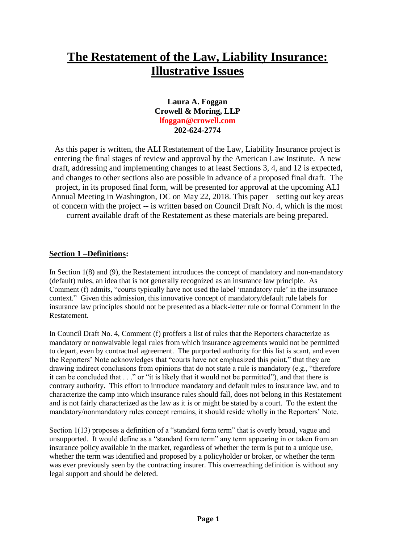# **The Restatement of the Law, Liability Insurance: Illustrative Issues**

# **Laura A. Foggan Crowell & Moring, LLP [lfoggan@crowell.com](mailto:lfoggan@crowell.com) 202-624-2774**

As this paper is written, the ALI Restatement of the Law, Liability Insurance project is entering the final stages of review and approval by the American Law Institute. A new draft, addressing and implementing changes to at least Sections 3, 4, and 12 is expected, and changes to other sections also are possible in advance of a proposed final draft. The project, in its proposed final form, will be presented for approval at the upcoming ALI Annual Meeting in Washington, DC on May 22, 2018. This paper – setting out key areas of concern with the project -- is written based on Council Draft No. 4, which is the most current available draft of the Restatement as these materials are being prepared.

# **Section 1 –Definitions:**

In Section 1(8) and (9), the Restatement introduces the concept of mandatory and non-mandatory (default) rules, an idea that is not generally recognized as an insurance law principle. As Comment (f) admits, "courts typically have not used the label 'mandatory rule' in the insurance context." Given this admission, this innovative concept of mandatory/default rule labels for insurance law principles should not be presented as a black-letter rule or formal Comment in the Restatement.

In Council Draft No. 4, Comment (f) proffers a list of rules that the Reporters characterize as mandatory or nonwaivable legal rules from which insurance agreements would not be permitted to depart, even by contractual agreement. The purported authority for this list is scant, and even the Reporters' Note acknowledges that "courts have not emphasized this point," that they are drawing indirect conclusions from opinions that do not state a rule is mandatory (e.g., "therefore it can be concluded that . . ." or "it is likely that it would not be permitted"), and that there is contrary authority. This effort to introduce mandatory and default rules to insurance law, and to characterize the camp into which insurance rules should fall, does not belong in this Restatement and is not fairly characterized as the law as it is or might be stated by a court. To the extent the mandatory/nonmandatory rules concept remains, it should reside wholly in the Reporters' Note.

Section 1(13) proposes a definition of a "standard form term" that is overly broad, vague and unsupported. It would define as a "standard form term" any term appearing in or taken from an insurance policy available in the market, regardless of whether the term is put to a unique use, whether the term was identified and proposed by a policyholder or broker, or whether the term was ever previously seen by the contracting insurer. This overreaching definition is without any legal support and should be deleted.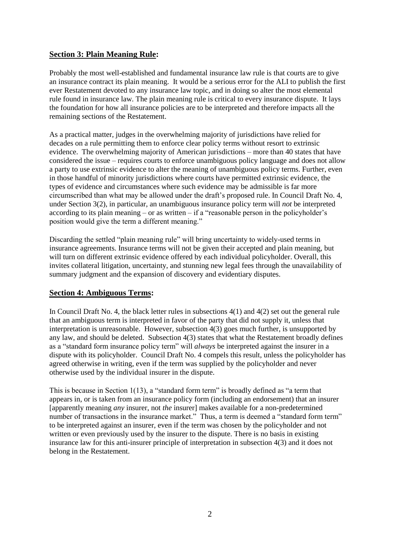### **Section 3: Plain Meaning Rule:**

Probably the most well-established and fundamental insurance law rule is that courts are to give an insurance contract its plain meaning. It would be a serious error for the ALI to publish the first ever Restatement devoted to any insurance law topic, and in doing so alter the most elemental rule found in insurance law. The plain meaning rule is critical to every insurance dispute. It lays the foundation for how all insurance policies are to be interpreted and therefore impacts all the remaining sections of the Restatement.

As a practical matter, judges in the overwhelming majority of jurisdictions have relied for decades on a rule permitting them to enforce clear policy terms without resort to extrinsic evidence. The overwhelming majority of American jurisdictions – more than 40 states that have considered the issue – requires courts to enforce unambiguous policy language and does not allow a party to use extrinsic evidence to alter the meaning of unambiguous policy terms. Further, even in those handful of minority jurisdictions where courts have permitted extrinsic evidence, the types of evidence and circumstances where such evidence may be admissible is far more circumscribed than what may be allowed under the draft's proposed rule. In Council Draft No. 4, under Section 3(2), in particular, an unambiguous insurance policy term will *not* be interpreted according to its plain meaning – or as written – if a "reasonable person in the policyholder's position would give the term a different meaning."

Discarding the settled "plain meaning rule" will bring uncertainty to widely-used terms in insurance agreements. Insurance terms will not be given their accepted and plain meaning, but will turn on different extrinsic evidence offered by each individual policyholder. Overall, this invites collateral litigation, uncertainty, and stunning new legal fees through the unavailability of summary judgment and the expansion of discovery and evidentiary disputes.

## **Section 4: Ambiguous Terms:**

In Council Draft No. 4, the black letter rules in subsections 4(1) and 4(2) set out the general rule that an ambiguous term is interpreted in favor of the party that did not supply it, unless that interpretation is unreasonable. However, subsection 4(3) goes much further, is unsupported by any law, and should be deleted. Subsection 4(3) states that what the Restatement broadly defines as a "standard form insurance policy term" will *always* be interpreted against the insurer in a dispute with its policyholder. Council Draft No. 4 compels this result, unless the policyholder has agreed otherwise in writing, even if the term was supplied by the policyholder and never otherwise used by the individual insurer in the dispute.

This is because in Section 1(13), a "standard form term" is broadly defined as "a term that appears in, or is taken from an insurance policy form (including an endorsement) that an insurer [apparently meaning *any* insurer, not *the* insurer] makes available for a non-predetermined number of transactions in the insurance market." Thus, a term is deemed a "standard form term" to be interpreted against an insurer, even if the term was chosen by the policyholder and not written or even previously used by the insurer to the dispute. There is no basis in existing insurance law for this anti-insurer principle of interpretation in subsection 4(3) and it does not belong in the Restatement.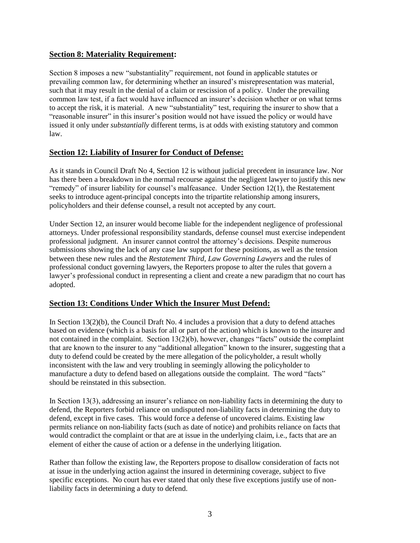# **Section 8: Materiality Requirement:**

Section 8 imposes a new "substantiality" requirement, not found in applicable statutes or prevailing common law, for determining whether an insured's misrepresentation was material, such that it may result in the denial of a claim or rescission of a policy. Under the prevailing common law test, if a fact would have influenced an insurer's decision whether or on what terms to accept the risk, it is material. A new "substantiality" test, requiring the insurer to show that a "reasonable insurer" in this insurer's position would not have issued the policy or would have issued it only under *substantially* different terms, is at odds with existing statutory and common law.

# **Section 12: Liability of Insurer for Conduct of Defense:**

As it stands in Council Draft No 4, Section 12 is without judicial precedent in insurance law. Nor has there been a breakdown in the normal recourse against the negligent lawyer to justify this new "remedy" of insurer liability for counsel's malfeasance. Under Section  $12(1)$ , the Restatement seeks to introduce agent-principal concepts into the tripartite relationship among insurers, policyholders and their defense counsel, a result not accepted by any court.

Under Section 12, an insurer would become liable for the independent negligence of professional attorneys. Under professional responsibility standards, defense counsel must exercise independent professional judgment. An insurer cannot control the attorney's decisions. Despite numerous submissions showing the lack of any case law support for these positions, as well as the tension between these new rules and the *Restatement Third, Law Governing Lawyers* and the rules of professional conduct governing lawyers, the Reporters propose to alter the rules that govern a lawyer's professional conduct in representing a client and create a new paradigm that no court has adopted.

## **Section 13: Conditions Under Which the Insurer Must Defend:**

In Section 13(2)(b), the Council Draft No. 4 includes a provision that a duty to defend attaches based on evidence (which is a basis for all or part of the action) which is known to the insurer and not contained in the complaint. Section 13(2)(b), however, changes "facts" outside the complaint that are known to the insurer to any "additional allegation" known to the insurer, suggesting that a duty to defend could be created by the mere allegation of the policyholder, a result wholly inconsistent with the law and very troubling in seemingly allowing the policyholder to manufacture a duty to defend based on allegations outside the complaint. The word "facts" should be reinstated in this subsection.

In Section 13(3), addressing an insurer's reliance on non-liability facts in determining the duty to defend, the Reporters forbid reliance on undisputed non-liability facts in determining the duty to defend, except in five cases. This would force a defense of uncovered claims. Existing law permits reliance on non-liability facts (such as date of notice) and prohibits reliance on facts that would contradict the complaint or that are at issue in the underlying claim, i.e., facts that are an element of either the cause of action or a defense in the underlying litigation.

Rather than follow the existing law, the Reporters propose to disallow consideration of facts not at issue in the underlying action against the insured in determining coverage, subject to five specific exceptions. No court has ever stated that only these five exceptions justify use of nonliability facts in determining a duty to defend.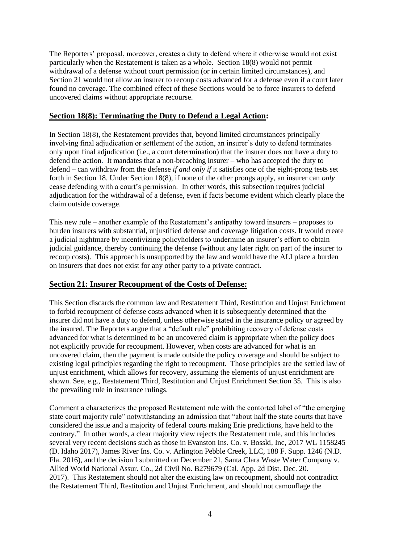The Reporters' proposal, moreover, creates a duty to defend where it otherwise would not exist particularly when the Restatement is taken as a whole. Section 18(8) would not permit withdrawal of a defense without court permission (or in certain limited circumstances), and Section 21 would not allow an insurer to recoup costs advanced for a defense even if a court later found no coverage. The combined effect of these Sections would be to force insurers to defend uncovered claims without appropriate recourse.

#### **Section 18(8): Terminating the Duty to Defend a Legal Action:**

In Section 18(8), the Restatement provides that, beyond limited circumstances principally involving final adjudication or settlement of the action, an insurer's duty to defend terminates only upon final adjudication (i.e., a court determination) that the insurer does not have a duty to defend the action. It mandates that a non-breaching insurer – who has accepted the duty to defend – can withdraw from the defense *if and only if* it satisfies one of the eight-prong tests set forth in Section 18. Under Section 18(8), if none of the other prongs apply, an insurer can *only*  cease defending with a court's permission. In other words, this subsection requires judicial adjudication for the withdrawal of a defense, even if facts become evident which clearly place the claim outside coverage.

This new rule – another example of the Restatement's antipathy toward insurers – proposes to burden insurers with substantial, unjustified defense and coverage litigation costs. It would create a judicial nightmare by incentivizing policyholders to undermine an insurer's effort to obtain judicial guidance, thereby continuing the defense (without any later right on part of the insurer to recoup costs). This approach is unsupported by the law and would have the ALI place a burden on insurers that does not exist for any other party to a private contract.

## **Section 21: Insurer Recoupment of the Costs of Defense:**

This Section discards the common law and Restatement Third, Restitution and Unjust Enrichment to forbid recoupment of defense costs advanced when it is subsequently determined that the insurer did not have a duty to defend, unless otherwise stated in the insurance policy or agreed by the insured. The Reporters argue that a "default rule" prohibiting recovery of defense costs advanced for what is determined to be an uncovered claim is appropriate when the policy does not explicitly provide for recoupment. However, when costs are advanced for what is an uncovered claim, then the payment is made outside the policy coverage and should be subject to existing legal principles regarding the right to recoupment. Those principles are the settled law of unjust enrichment, which allows for recovery, assuming the elements of unjust enrichment are shown. See, e.g., Restatement Third, Restitution and Unjust Enrichment Section 35. This is also the prevailing rule in insurance rulings.

Comment a characterizes the proposed Restatement rule with the contorted label of "the emerging state court majority rule" notwithstanding an admission that "about half the state courts that have considered the issue and a majority of federal courts making Erie predictions, have held to the contrary." In other words, a clear majority view rejects the Restatement rule, and this includes several very recent decisions such as those in Evanston Ins. Co. v. Bosski, Inc, 2017 WL 1158245 (D. Idaho 2017), James River Ins. Co. v. Arlington Pebble Creek, LLC, 188 F. Supp. 1246 (N.D. Fla. 2016), and the decision I submitted on December 21, Santa Clara Waste Water Company v. Allied World National Assur. Co., 2d Civil No. B279679 (Cal. App. 2d Dist. Dec. 20. 2017). This Restatement should not alter the existing law on recoupment, should not contradict the Restatement Third, Restitution and Unjust Enrichment, and should not camouflage the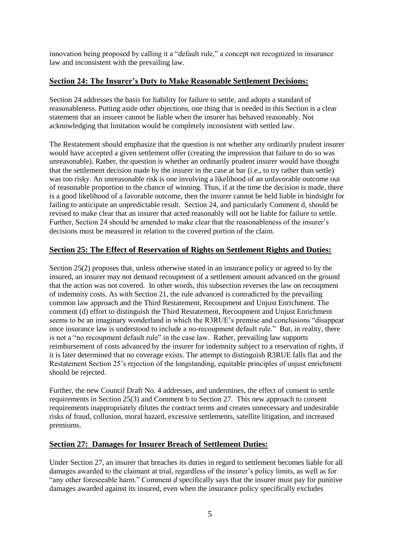innovation being proposed by calling it a "default rule," a concept not recognized in insurance law and inconsistent with the prevailing law.

# **Section 24: The Insurer's Duty to Make Reasonable Settlement Decisions:**

Section 24 addresses the basis for liability for failure to settle, and adopts a standard of reasonableness. Putting aside other objections, one thing that is needed in this Section is a clear statement that an insurer cannot be liable when the insurer has behaved reasonably. Not acknowledging that limitation would be completely inconsistent with settled law.

The Restatement should emphasize that the question is not whether any ordinarily prudent insurer would have accepted a given settlement offer (creating the impression that failure to do so was unreasonable). Rather, the question is whether an ordinarily prudent insurer would have thought that the settlement decision made by the insurer in the case at bar (i.e., to try rather than settle) was too risky. An unreasonable risk is one involving a likelihood of an unfavorable outcome out of reasonable proportion to the chance of winning. Thus, if at the time the decision is made, there is a good likelihood of a favorable outcome, then the insurer cannot be held liable in hindsight for failing to anticipate an unpredictable result. Section 24, and particularly Comment d, should be revised to make clear that an insurer that acted reasonably will not be liable for failure to settle. Further, Section 24 should be amended to make clear that the reasonableness of the insurer's decisions must be measured in relation to the covered portion of the claim.

# **Section 25: The Effect of Reservation of Rights on Settlement Rights and Duties:**

Section 25(2) proposes that, unless otherwise stated in an insurance policy or agreed to by the insured, an insurer may not demand recoupment of a settlement amount advanced on the ground that the action was not covered. In other words, this subsection reverses the law on recoupment of indemnity costs. As with Section 21, the rule advanced is contradicted by the prevailing common law approach and the Third Restatement, Recoupment and Unjust Enrichment. The comment (d) effort to distinguish the Third Restatement, Recoupment and Unjust Enrichment seems to be an imaginary wonderland in which the R3RUE's premise and conclusions "disappear once insurance law is understood to include a no-recoupment default rule." But, in reality, there is not a "no recoupment default rule" in the case law. Rather, prevailing law supports reimbursement of costs advanced by the insurer for indemnity subject to a reservation of rights, if it is later determined that no coverage exists. The attempt to distinguish R3RUE falls flat and the Restatement Section 25's rejection of the longstanding, equitable principles of unjust enrichment should be rejected.

Further, the new Council Draft No. 4 addresses, and undermines, the effect of consent to settle requirements in Section 25(3) and Comment b to Section 27. This new approach to consent requirements inappropriately dilutes the contract terms and creates unnecessary and undesirable risks of fraud, collusion, moral hazard, excessive settlements, satellite litigation, and increased premiums.

## **Section 27: Damages for Insurer Breach of Settlement Duties:**

Under Section 27, an insurer that breaches its duties in regard to settlement becomes liable for all damages awarded to the claimant at trial, regardless of the insurer's policy limits, as well as for "any other foreseeable harm." Comment *d* specifically says that the insurer must pay for punitive damages awarded against its insured, even when the insurance policy specifically excludes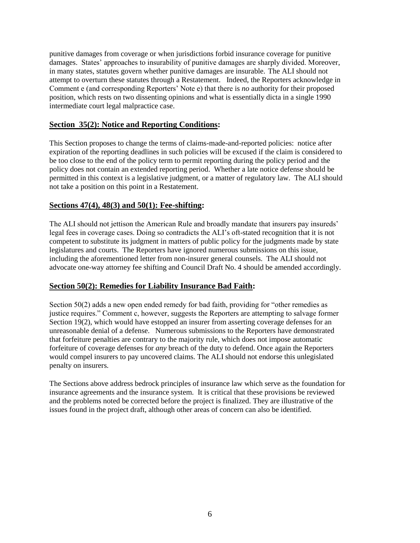punitive damages from coverage or when jurisdictions forbid insurance coverage for punitive damages. States' approaches to insurability of punitive damages are sharply divided. Moreover, in many states, statutes govern whether punitive damages are insurable. The ALI should not attempt to overturn these statutes through a Restatement. Indeed, the Reporters acknowledge in Comment e (and corresponding Reporters' Note e) that there is *no* authority for their proposed position, which rests on two dissenting opinions and what is essentially dicta in a single 1990 intermediate court legal malpractice case.

## **Section 35(2): Notice and Reporting Conditions:**

This Section proposes to change the terms of claims-made-and-reported policies: notice after expiration of the reporting deadlines in such policies will be excused if the claim is considered to be too close to the end of the policy term to permit reporting during the policy period and the policy does not contain an extended reporting period. Whether a late notice defense should be permitted in this context is a legislative judgment, or a matter of regulatory law. The ALI should not take a position on this point in a Restatement.

#### **Sections 47(4), 48(3) and 50(1): Fee-shifting:**

The ALI should not jettison the American Rule and broadly mandate that insurers pay insureds' legal fees in coverage cases. Doing so contradicts the ALI's oft-stated recognition that it is not competent to substitute its judgment in matters of public policy for the judgments made by state legislatures and courts. The Reporters have ignored numerous submissions on this issue, including the aforementioned letter from non-insurer general counsels. The ALI should not advocate one-way attorney fee shifting and Council Draft No. 4 should be amended accordingly.

## **Section 50(2): Remedies for Liability Insurance Bad Faith:**

Section 50(2) adds a new open ended remedy for bad faith, providing for "other remedies as justice requires." Comment c, however, suggests the Reporters are attempting to salvage former Section 19(2), which would have estopped an insurer from asserting coverage defenses for an unreasonable denial of a defense. Numerous submissions to the Reporters have demonstrated that forfeiture penalties are contrary to the majority rule, which does not impose automatic forfeiture of coverage defenses for *any* breach of the duty to defend. Once again the Reporters would compel insurers to pay uncovered claims. The ALI should not endorse this unlegislated penalty on insurers.

The Sections above address bedrock principles of insurance law which serve as the foundation for insurance agreements and the insurance system. It is critical that these provisions be reviewed and the problems noted be corrected before the project is finalized. They are illustrative of the issues found in the project draft, although other areas of concern can also be identified.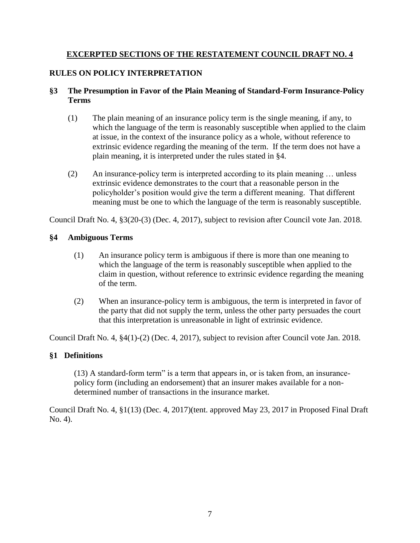# **EXCERPTED SECTIONS OF THE RESTATEMENT COUNCIL DRAFT NO. 4**

# **RULES ON POLICY INTERPRETATION**

# **§3 The Presumption in Favor of the Plain Meaning of Standard-Form Insurance-Policy Terms**

- (1) The plain meaning of an insurance policy term is the single meaning, if any, to which the language of the term is reasonably susceptible when applied to the claim at issue, in the context of the insurance policy as a whole, without reference to extrinsic evidence regarding the meaning of the term. If the term does not have a plain meaning, it is interpreted under the rules stated in §4.
- (2) An insurance-policy term is interpreted according to its plain meaning … unless extrinsic evidence demonstrates to the court that a reasonable person in the policyholder's position would give the term a different meaning. That different meaning must be one to which the language of the term is reasonably susceptible.

Council Draft No. 4, §3(20-(3) (Dec. 4, 2017), subject to revision after Council vote Jan. 2018.

# **§4 Ambiguous Terms**

- (1) An insurance policy term is ambiguous if there is more than one meaning to which the language of the term is reasonably susceptible when applied to the claim in question, without reference to extrinsic evidence regarding the meaning of the term.
- (2) When an insurance-policy term is ambiguous, the term is interpreted in favor of the party that did not supply the term, unless the other party persuades the court that this interpretation is unreasonable in light of extrinsic evidence.

Council Draft No. 4, §4(1)-(2) (Dec. 4, 2017), subject to revision after Council vote Jan. 2018.

# **§1 Definitions**

(13) A standard-form term" is a term that appears in, or is taken from, an insurancepolicy form (including an endorsement) that an insurer makes available for a nondetermined number of transactions in the insurance market.

Council Draft No. 4, §1(13) (Dec. 4, 2017)(tent. approved May 23, 2017 in Proposed Final Draft No. 4).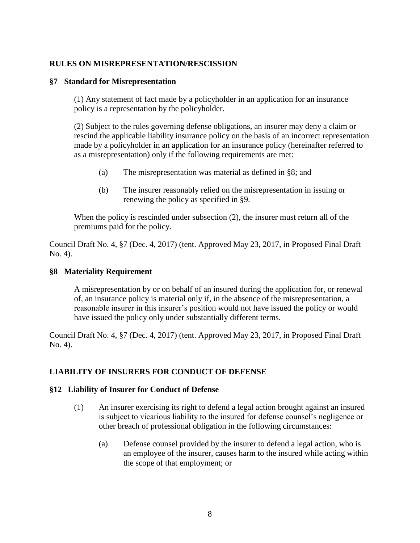# **RULES ON MISREPRESENTATION/RESCISSION**

## **§7 Standard for Misrepresentation**

(1) Any statement of fact made by a policyholder in an application for an insurance policy is a representation by the policyholder.

(2) Subject to the rules governing defense obligations, an insurer may deny a claim or rescind the applicable liability insurance policy on the basis of an incorrect representation made by a policyholder in an application for an insurance policy (hereinafter referred to as a misrepresentation) only if the following requirements are met:

- (a) The misrepresentation was material as defined in §8; and
- (b) The insurer reasonably relied on the misrepresentation in issuing or renewing the policy as specified in §9.

When the policy is rescinded under subsection (2), the insurer must return all of the premiums paid for the policy.

Council Draft No. 4, §7 (Dec. 4, 2017) (tent. Approved May 23, 2017, in Proposed Final Draft No. 4).

## **§8 Materiality Requirement**

A misrepresentation by or on behalf of an insured during the application for, or renewal of, an insurance policy is material only if, in the absence of the misrepresentation, a reasonable insurer in this insurer's position would not have issued the policy or would have issued the policy only under substantially different terms.

Council Draft No. 4, §7 (Dec. 4, 2017) (tent. Approved May 23, 2017, in Proposed Final Draft No. 4).

## **LIABILITY OF INSURERS FOR CONDUCT OF DEFENSE**

## **§12 Liability of Insurer for Conduct of Defense**

- (1) An insurer exercising its right to defend a legal action brought against an insured is subject to vicarious liability to the insured for defense counsel's negligence or other breach of professional obligation in the following circumstances:
	- (a) Defense counsel provided by the insurer to defend a legal action, who is an employee of the insurer, causes harm to the insured while acting within the scope of that employment; or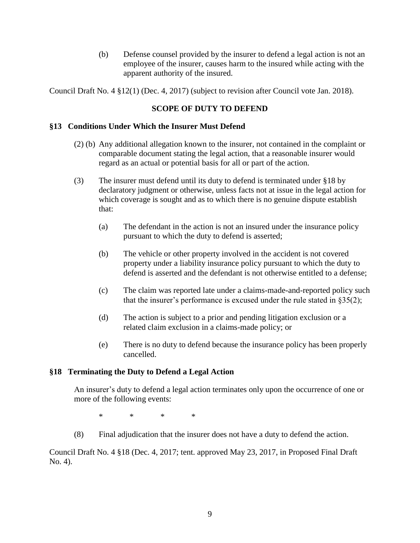(b) Defense counsel provided by the insurer to defend a legal action is not an employee of the insurer, causes harm to the insured while acting with the apparent authority of the insured.

Council Draft No. 4 §12(1) (Dec. 4, 2017) (subject to revision after Council vote Jan. 2018).

# **SCOPE OF DUTY TO DEFEND**

#### **§13 Conditions Under Which the Insurer Must Defend**

- (2) (b) Any additional allegation known to the insurer, not contained in the complaint or comparable document stating the legal action, that a reasonable insurer would regard as an actual or potential basis for all or part of the action.
- (3) The insurer must defend until its duty to defend is terminated under §18 by declaratory judgment or otherwise, unless facts not at issue in the legal action for which coverage is sought and as to which there is no genuine dispute establish that:
	- (a) The defendant in the action is not an insured under the insurance policy pursuant to which the duty to defend is asserted;
	- (b) The vehicle or other property involved in the accident is not covered property under a liability insurance policy pursuant to which the duty to defend is asserted and the defendant is not otherwise entitled to a defense;
	- (c) The claim was reported late under a claims-made-and-reported policy such that the insurer's performance is excused under the rule stated in  $\S 35(2)$ ;
	- (d) The action is subject to a prior and pending litigation exclusion or a related claim exclusion in a claims-made policy; or
	- (e) There is no duty to defend because the insurance policy has been properly cancelled.

## **§18 Terminating the Duty to Defend a Legal Action**

An insurer's duty to defend a legal action terminates only upon the occurrence of one or more of the following events:

\* \* \* \*

(8) Final adjudication that the insurer does not have a duty to defend the action.

Council Draft No. 4 §18 (Dec. 4, 2017; tent. approved May 23, 2017, in Proposed Final Draft No. 4).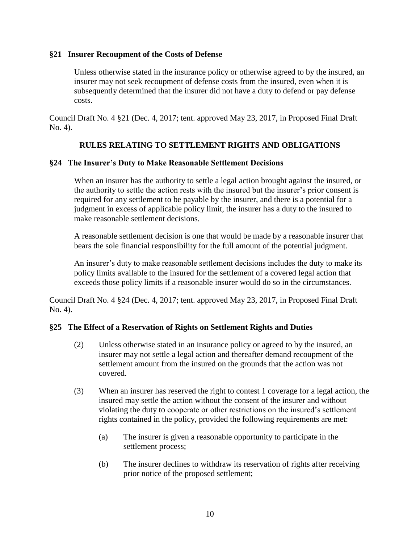## **§21 Insurer Recoupment of the Costs of Defense**

Unless otherwise stated in the insurance policy or otherwise agreed to by the insured, an insurer may not seek recoupment of defense costs from the insured, even when it is subsequently determined that the insurer did not have a duty to defend or pay defense costs.

Council Draft No. 4 §21 (Dec. 4, 2017; tent. approved May 23, 2017, in Proposed Final Draft No. 4).

# **RULES RELATING TO SETTLEMENT RIGHTS AND OBLIGATIONS**

# **§24 The Insurer's Duty to Make Reasonable Settlement Decisions**

When an insurer has the authority to settle a legal action brought against the insured, or the authority to settle the action rests with the insured but the insurer's prior consent is required for any settlement to be payable by the insurer, and there is a potential for a judgment in excess of applicable policy limit, the insurer has a duty to the insured to make reasonable settlement decisions.

A reasonable settlement decision is one that would be made by a reasonable insurer that bears the sole financial responsibility for the full amount of the potential judgment.

An insurer's duty to make reasonable settlement decisions includes the duty to make its policy limits available to the insured for the settlement of a covered legal action that exceeds those policy limits if a reasonable insurer would do so in the circumstances.

Council Draft No. 4 §24 (Dec. 4, 2017; tent. approved May 23, 2017, in Proposed Final Draft No. 4).

# **§25 The Effect of a Reservation of Rights on Settlement Rights and Duties**

- (2) Unless otherwise stated in an insurance policy or agreed to by the insured, an insurer may not settle a legal action and thereafter demand recoupment of the settlement amount from the insured on the grounds that the action was not covered.
- (3) When an insurer has reserved the right to contest 1 coverage for a legal action, the insured may settle the action without the consent of the insurer and without violating the duty to cooperate or other restrictions on the insured's settlement rights contained in the policy, provided the following requirements are met:
	- (a) The insurer is given a reasonable opportunity to participate in the settlement process;
	- (b) The insurer declines to withdraw its reservation of rights after receiving prior notice of the proposed settlement;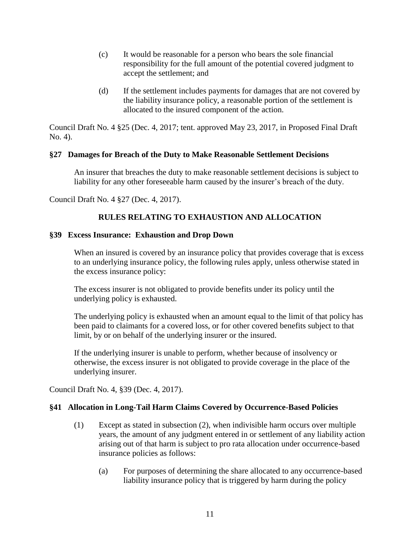- (c) It would be reasonable for a person who bears the sole financial responsibility for the full amount of the potential covered judgment to accept the settlement; and
- (d) If the settlement includes payments for damages that are not covered by the liability insurance policy, a reasonable portion of the settlement is allocated to the insured component of the action.

Council Draft No. 4 §25 (Dec. 4, 2017; tent. approved May 23, 2017, in Proposed Final Draft No. 4).

# **§27 Damages for Breach of the Duty to Make Reasonable Settlement Decisions**

An insurer that breaches the duty to make reasonable settlement decisions is subject to liability for any other foreseeable harm caused by the insurer's breach of the duty.

Council Draft No. 4 §27 (Dec. 4, 2017).

# **RULES RELATING TO EXHAUSTION AND ALLOCATION**

# **§39 Excess Insurance: Exhaustion and Drop Down**

When an insured is covered by an insurance policy that provides coverage that is excess to an underlying insurance policy, the following rules apply, unless otherwise stated in the excess insurance policy:

The excess insurer is not obligated to provide benefits under its policy until the underlying policy is exhausted.

The underlying policy is exhausted when an amount equal to the limit of that policy has been paid to claimants for a covered loss, or for other covered benefits subject to that limit, by or on behalf of the underlying insurer or the insured.

If the underlying insurer is unable to perform, whether because of insolvency or otherwise, the excess insurer is not obligated to provide coverage in the place of the underlying insurer.

Council Draft No. 4, §39 (Dec. 4, 2017).

# **§41 Allocation in Long-Tail Harm Claims Covered by Occurrence-Based Policies**

- (1) Except as stated in subsection (2), when indivisible harm occurs over multiple years, the amount of any judgment entered in or settlement of any liability action arising out of that harm is subject to pro rata allocation under occurrence-based insurance policies as follows:
	- (a) For purposes of determining the share allocated to any occurrence-based liability insurance policy that is triggered by harm during the policy